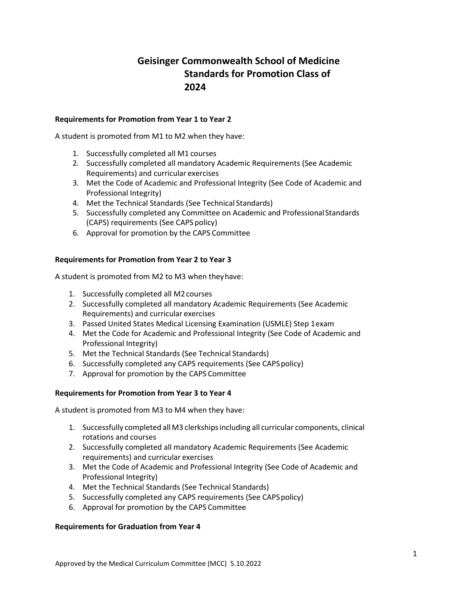# **Geisinger Commonwealth School of Medicine Standards for Promotion Class of 2024**

### **Requirements for Promotion from Year 1 to Year 2**

A student is promoted from M1 to M2 when they have:

- 1. Successfully completed all M1 courses
- 2. Successfully completed all mandatory Academic Requirements (See Academic Requirements) and curricular exercises
- 3. Met the Code of Academic and Professional Integrity (See Code of Academic and Professional Integrity)
- 4. Met the Technical Standards (See Technical Standards)
- 5. Successfully completed any Committee on Academic and ProfessionalStandards (CAPS) requirements (See CAPS policy)
- 6. Approval for promotion by the CAPS Committee

#### **Requirements for Promotion from Year 2 to Year 3**

A student is promoted from M2 to M3 when theyhave:

- 1. Successfully completed all M2courses
- 2. Successfully completed all mandatory Academic Requirements (See Academic Requirements) and curricular exercises
- 3. Passed United States Medical Licensing Examination (USMLE) Step 1exam
- 4. Met the Code for Academic and Professional Integrity (See Code of Academic and Professional Integrity)
- 5. Met the Technical Standards (See Technical Standards)
- 6. Successfully completed any CAPS requirements (See CAPSpolicy)
- 7. Approval for promotion by the CAPS Committee

## **Requirements for Promotion from Year 3 to Year 4**

A student is promoted from M3 to M4 when they have:

- 1. Successfully completed allM3 clerkshipsincluding all curricular components, clinical rotations and courses
- 2. Successfully completed all mandatory Academic Requirements (See Academic requirements) and curricular exercises
- 3. Met the Code of Academic and Professional Integrity (See Code of Academic and Professional Integrity)
- 4. Met the Technical Standards (See Technical Standards)
- 5. Successfully completed any CAPS requirements (See CAPSpolicy)
- 6. Approval for promotion by the CAPS Committee

#### **Requirements for Graduation from Year 4**